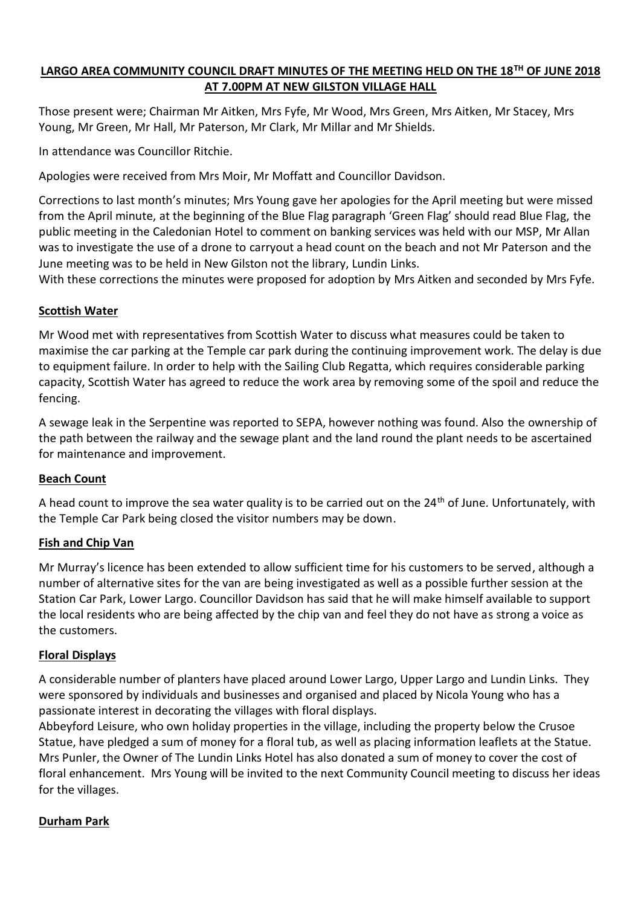## **LARGO AREA COMMUNITY COUNCIL DRAFT MINUTES OF THE MEETING HELD ON THE 18TH OF JUNE 2018 AT 7.00PM AT NEW GILSTON VILLAGE HALL**

Those present were; Chairman Mr Aitken, Mrs Fyfe, Mr Wood, Mrs Green, Mrs Aitken, Mr Stacey, Mrs Young, Mr Green, Mr Hall, Mr Paterson, Mr Clark, Mr Millar and Mr Shields.

In attendance was Councillor Ritchie.

Apologies were received from Mrs Moir, Mr Moffatt and Councillor Davidson.

Corrections to last month's minutes; Mrs Young gave her apologies for the April meeting but were missed from the April minute, at the beginning of the Blue Flag paragraph 'Green Flag' should read Blue Flag, the public meeting in the Caledonian Hotel to comment on banking services was held with our MSP, Mr Allan was to investigate the use of a drone to carryout a head count on the beach and not Mr Paterson and the June meeting was to be held in New Gilston not the library, Lundin Links.

With these corrections the minutes were proposed for adoption by Mrs Aitken and seconded by Mrs Fyfe.

## **Scottish Water**

Mr Wood met with representatives from Scottish Water to discuss what measures could be taken to maximise the car parking at the Temple car park during the continuing improvement work. The delay is due to equipment failure. In order to help with the Sailing Club Regatta, which requires considerable parking capacity, Scottish Water has agreed to reduce the work area by removing some of the spoil and reduce the fencing.

A sewage leak in the Serpentine was reported to SEPA, however nothing was found. Also the ownership of the path between the railway and the sewage plant and the land round the plant needs to be ascertained for maintenance and improvement.

#### **Beach Count**

A head count to improve the sea water quality is to be carried out on the  $24<sup>th</sup>$  of June. Unfortunately, with the Temple Car Park being closed the visitor numbers may be down.

#### **Fish and Chip Van**

Mr Murray's licence has been extended to allow sufficient time for his customers to be served, although a number of alternative sites for the van are being investigated as well as a possible further session at the Station Car Park, Lower Largo. Councillor Davidson has said that he will make himself available to support the local residents who are being affected by the chip van and feel they do not have as strong a voice as the customers.

#### **Floral Displays**

A considerable number of planters have placed around Lower Largo, Upper Largo and Lundin Links. They were sponsored by individuals and businesses and organised and placed by Nicola Young who has a passionate interest in decorating the villages with floral displays.

Abbeyford Leisure, who own holiday properties in the village, including the property below the Crusoe Statue, have pledged a sum of money for a floral tub, as well as placing information leaflets at the Statue. Mrs Punler, the Owner of The Lundin Links Hotel has also donated a sum of money to cover the cost of floral enhancement. Mrs Young will be invited to the next Community Council meeting to discuss her ideas for the villages.

#### **Durham Park**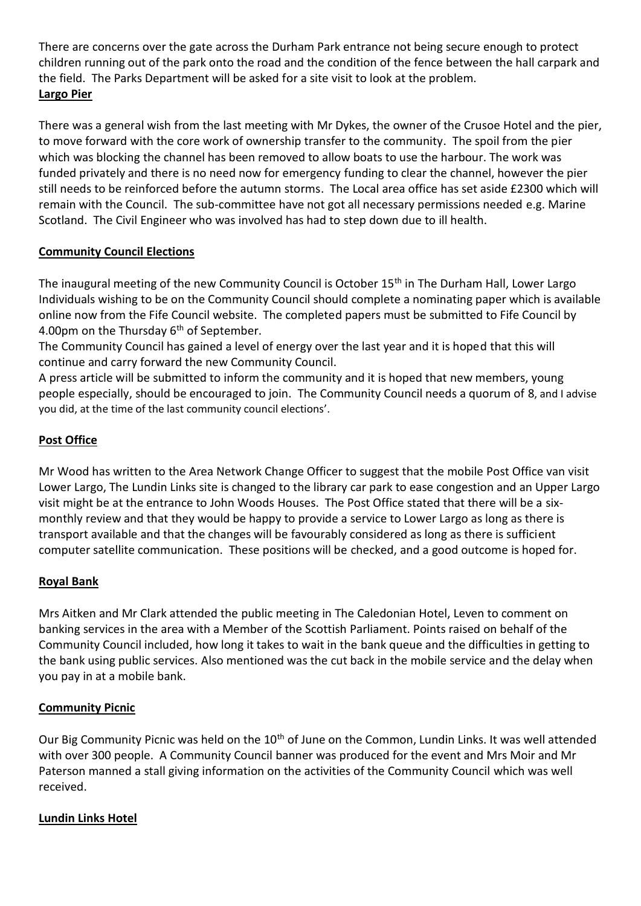There are concerns over the gate across the Durham Park entrance not being secure enough to protect children running out of the park onto the road and the condition of the fence between the hall carpark and the field. The Parks Department will be asked for a site visit to look at the problem. **Largo Pier**

There was a general wish from the last meeting with Mr Dykes, the owner of the Crusoe Hotel and the pier, to move forward with the core work of ownership transfer to the community. The spoil from the pier which was blocking the channel has been removed to allow boats to use the harbour. The work was funded privately and there is no need now for emergency funding to clear the channel, however the pier still needs to be reinforced before the autumn storms. The Local area office has set aside £2300 which will remain with the Council. The sub-committee have not got all necessary permissions needed e.g. Marine Scotland. The Civil Engineer who was involved has had to step down due to ill health.

## **Community Council Elections**

The inaugural meeting of the new Community Council is October 15<sup>th</sup> in The Durham Hall, Lower Largo Individuals wishing to be on the Community Council should complete a nominating paper which is available online now from the Fife Council website. The completed papers must be submitted to Fife Council by 4.00pm on the Thursday  $6<sup>th</sup>$  of September.

The Community Council has gained a level of energy over the last year and it is hoped that this will continue and carry forward the new Community Council.

A press article will be submitted to inform the community and it is hoped that new members, young people especially, should be encouraged to join. The Community Council needs a quorum of 8, and I advise you did, at the time of the last community council elections'.

## **Post Office**

Mr Wood has written to the Area Network Change Officer to suggest that the mobile Post Office van visit Lower Largo, The Lundin Links site is changed to the library car park to ease congestion and an Upper Largo visit might be at the entrance to John Woods Houses. The Post Office stated that there will be a sixmonthly review and that they would be happy to provide a service to Lower Largo as long as there is transport available and that the changes will be favourably considered as long as there is sufficient computer satellite communication. These positions will be checked, and a good outcome is hoped for.

#### **Royal Bank**

Mrs Aitken and Mr Clark attended the public meeting in The Caledonian Hotel, Leven to comment on banking services in the area with a Member of the Scottish Parliament. Points raised on behalf of the Community Council included, how long it takes to wait in the bank queue and the difficulties in getting to the bank using public services. Also mentioned was the cut back in the mobile service and the delay when you pay in at a mobile bank.

#### **Community Picnic**

Our Big Community Picnic was held on the 10<sup>th</sup> of June on the Common, Lundin Links. It was well attended with over 300 people. A Community Council banner was produced for the event and Mrs Moir and Mr Paterson manned a stall giving information on the activities of the Community Council which was well received.

#### **Lundin Links Hotel**